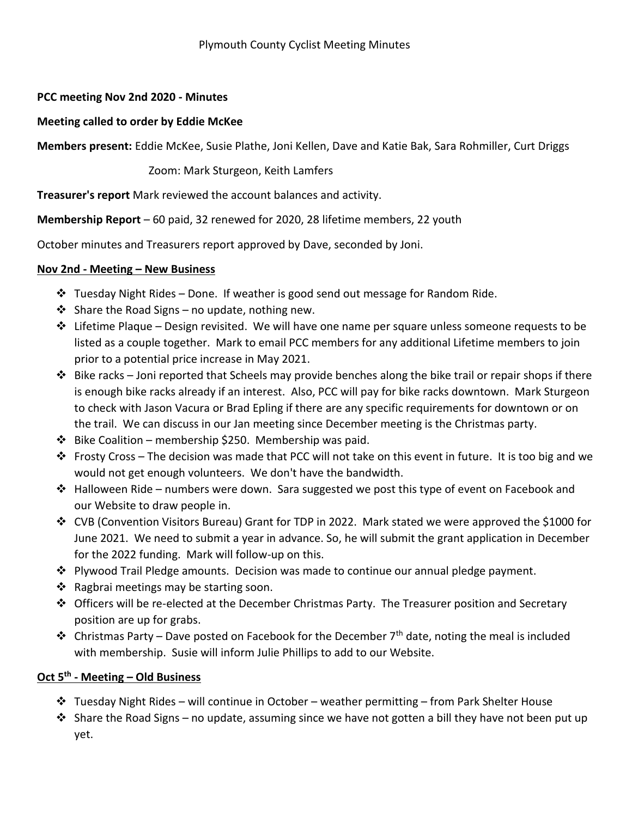## **PCC meeting Nov 2nd 2020 - Minutes**

## **Meeting called to order by Eddie McKee**

**Members present:** Eddie McKee, Susie Plathe, Joni Kellen, Dave and Katie Bak, Sara Rohmiller, Curt Driggs

Zoom: Mark Sturgeon, Keith Lamfers

**Treasurer's report** Mark reviewed the account balances and activity.

**Membership Report** – 60 paid, 32 renewed for 2020, 28 lifetime members, 22 youth

October minutes and Treasurers report approved by Dave, seconded by Joni.

## **Nov 2nd - Meeting – New Business**

- $\clubsuit$  Tuesday Night Rides Done. If weather is good send out message for Random Ride.
- $\cdot$  Share the Road Signs no update, nothing new.
- $\cdot \cdot$  Lifetime Plaque Design revisited. We will have one name per square unless someone requests to be listed as a couple together. Mark to email PCC members for any additional Lifetime members to join prior to a potential price increase in May 2021.
- $\cdot \cdot$  Bike racks Joni reported that Scheels may provide benches along the bike trail or repair shops if there is enough bike racks already if an interest. Also, PCC will pay for bike racks downtown. Mark Sturgeon to check with Jason Vacura or Brad Epling if there are any specific requirements for downtown or on the trail. We can discuss in our Jan meeting since December meeting is the Christmas party.
- $\div$  Bike Coalition membership \$250. Membership was paid.
- Frosty Cross The decision was made that PCC will not take on this event in future. It is too big and we would not get enough volunteers. We don't have the bandwidth.
- $\clubsuit$  Halloween Ride numbers were down. Sara suggested we post this type of event on Facebook and our Website to draw people in.
- CVB (Convention Visitors Bureau) Grant for TDP in 2022. Mark stated we were approved the \$1000 for June 2021. We need to submit a year in advance. So, he will submit the grant application in December for the 2022 funding. Mark will follow-up on this.
- $\triangle$  Plywood Trail Pledge amounts. Decision was made to continue our annual pledge payment.
- $\triangleleft$  Ragbrai meetings may be starting soon.
- $\triangle$  Officers will be re-elected at the December Christmas Party. The Treasurer position and Secretary position are up for grabs.
- Christmas Party Dave posted on Facebook for the December 7<sup>th</sup> date, noting the meal is included with membership. Susie will inform Julie Phillips to add to our Website.

## **Oct 5th - Meeting – Old Business**

- $\div$  Tuesday Night Rides will continue in October weather permitting from Park Shelter House
- $\triangleleft$  Share the Road Signs no update, assuming since we have not gotten a bill they have not been put up yet.